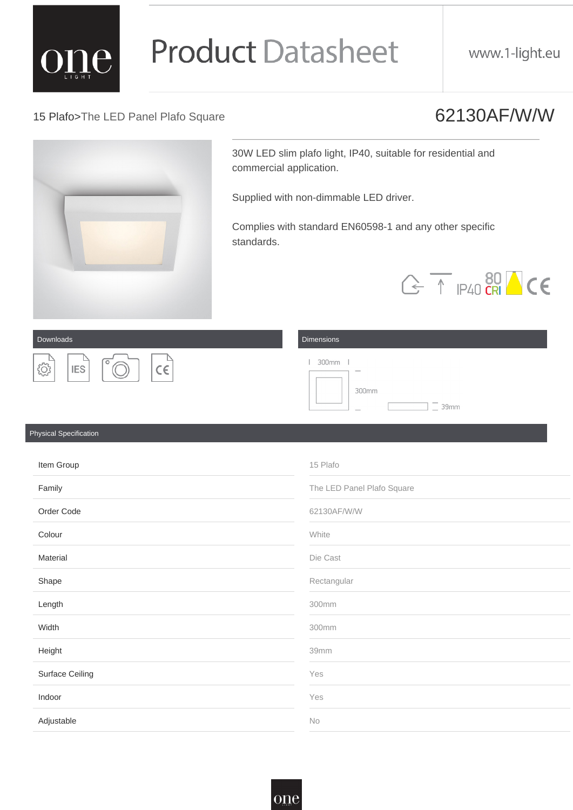15 Plafo>The LED Panel Plafo Square 62130AF/W/W

30W LED slim plafo light, IP40, suitable for residential and commercial application.

Supplied with non-dimmable LED driver.

Complies with standard EN60598-1 and any other specific standards.

Downloads **Dimensions Dimensions** 

| Item Group      | 15 Plafo                   |
|-----------------|----------------------------|
| Family          | The LED Panel Plafo Square |
| Order Code      | 62130AF/W/W                |
| Colour          | White                      |
| <b>Material</b> | Die Cast                   |
| Shape           | Rectangular                |
| Length          | 300mm                      |

| Width                  | 300mm |
|------------------------|-------|
| Height                 | 39mm  |
| <b>Surface Ceiling</b> | Yes   |
| Indoor                 | Yes   |
| Adjustable             | No    |

#### Physical Specification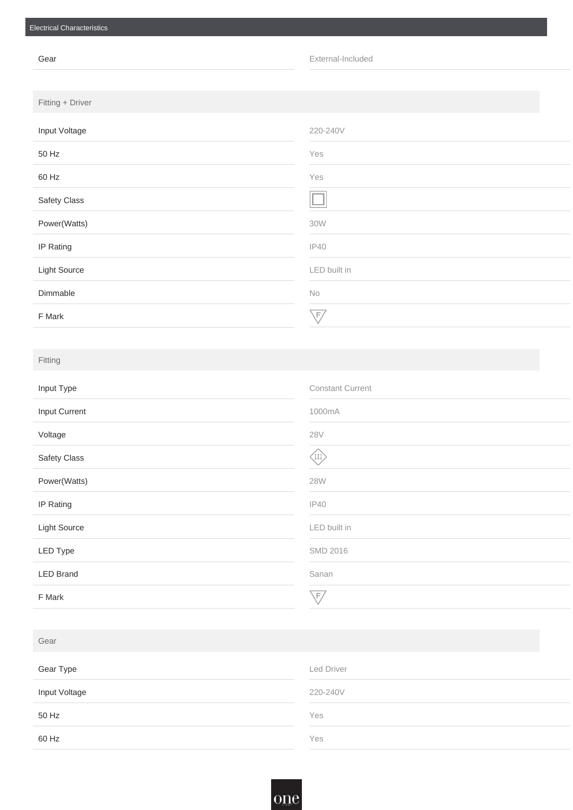| Gear                | External-Included |
|---------------------|-------------------|
|                     |                   |
| Fitting + Driver    |                   |
| Input Voltage       | 220-240V          |
| 50 Hz               | Yes               |
| 60 Hz               | Yes               |
| <b>Safety Class</b> |                   |
| Power(Watts)        | <b>30W</b>        |
| <b>IP Rating</b>    | <b>IP40</b>       |
| <b>Light Source</b> | LED built in      |
| Dimmable            | No                |
| F Mark              | $\sqrt{F}$        |

| Input Type           | <b>Constant Current</b> |
|----------------------|-------------------------|
| <b>Input Current</b> | 1000mA                  |
| Voltage              | <b>28V</b>              |
| <b>Safety Class</b>  | $\binom{1}{1}$          |
| Power(Watts)         | <b>28W</b>              |
| <b>IP Rating</b>     | <b>IP40</b>             |
| <b>Light Source</b>  | LED built in            |
| <b>LED Type</b>      | <b>SMD 2016</b>         |
| <b>LED Brand</b>     | Sanan                   |
| F Mark               | $\overline{\sqrt{F}}$   |

### Fitting

| Gear          |            |
|---------------|------------|
| Gear Type     | Led Driver |
| Input Voltage | 220-240V   |
| 50 Hz         | Yes        |
| 60 Hz         | Yes        |

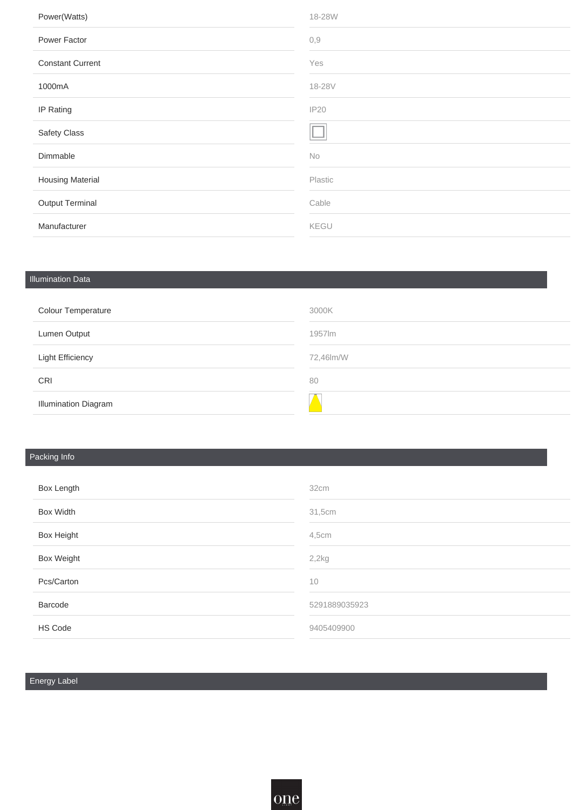| Power(Watts)            | 18-28W  |
|-------------------------|---------|
| Power Factor            | 0,9     |
| <b>Constant Current</b> | Yes     |
| 1000mA                  | 18-28V  |
| <b>IP Rating</b>        | IP20    |
| <b>Safety Class</b>     |         |
| Dimmable                | No      |
| <b>Housing Material</b> | Plastic |
| <b>Output Terminal</b>  | Cable   |
| Manufacturer            | KEGU    |

## Illumination Data

| <b>Colour Temperature</b>   | 3000K     |
|-----------------------------|-----------|
| <b>Lumen Output</b>         | 1957lm    |
| <b>Light Efficiency</b>     | 72,46lm/W |
| <b>CRI</b>                  | 80        |
| <b>Illumination Diagram</b> |           |

## Packing Info

| <b>Box Length</b> | 32cm          |
|-------------------|---------------|
| <b>Box Width</b>  | 31,5cm        |
| <b>Box Height</b> | 4,5cm         |
| <b>Box Weight</b> | 2,2kg         |
| Pcs/Carton        | 10            |
| Barcode           | 5291889035923 |